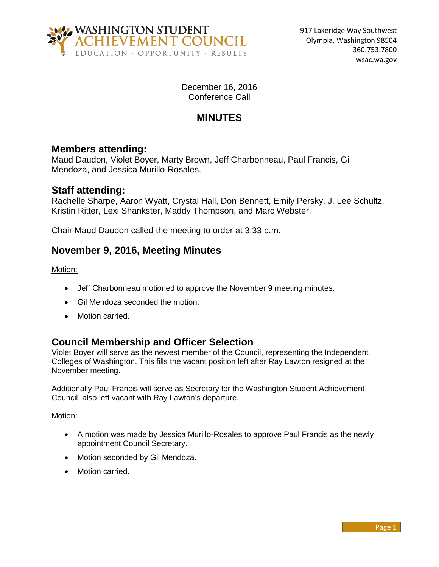

December 16, 2016 Conference Call

# **MINUTES**

## **Members attending:**

Maud Daudon, Violet Boyer, Marty Brown, Jeff Charbonneau, Paul Francis, Gil Mendoza, and Jessica Murillo-Rosales.

## **Staff attending:**

Rachelle Sharpe, Aaron Wyatt, Crystal Hall, Don Bennett, Emily Persky, J. Lee Schultz, Kristin Ritter, Lexi Shankster, Maddy Thompson, and Marc Webster.

Chair Maud Daudon called the meeting to order at 3:33 p.m.

## **November 9, 2016, Meeting Minutes**

Motion:

- Jeff Charbonneau motioned to approve the November 9 meeting minutes.
- Gil Mendoza seconded the motion.
- Motion carried.

## **Council Membership and Officer Selection**

Violet Boyer will serve as the newest member of the Council, representing the Independent Colleges of Washington. This fills the vacant position left after Ray Lawton resigned at the November meeting.

Additionally Paul Francis will serve as Secretary for the Washington Student Achievement Council, also left vacant with Ray Lawton's departure.

#### Motion:

- A motion was made by Jessica Murillo-Rosales to approve Paul Francis as the newly appointment Council Secretary.
- Motion seconded by Gil Mendoza.
- Motion carried.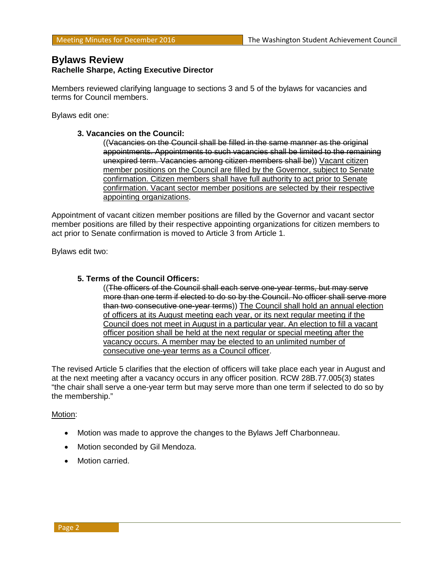### **Bylaws Review Rachelle Sharpe, Acting Executive Director**

Members reviewed clarifying language to sections 3 and 5 of the bylaws for vacancies and terms for Council members.

Bylaws edit one:

#### **3. Vacancies on the Council:**

((Vacancies on the Council shall be filled in the same manner as the original appointments. Appointments to such vacancies shall be limited to the remaining unexpired term. Vacancies among citizen members shall be)) Vacant citizen member positions on the Council are filled by the Governor, subject to Senate confirmation. Citizen members shall have full authority to act prior to Senate confirmation. Vacant sector member positions are selected by their respective appointing organizations.

Appointment of vacant citizen member positions are filled by the Governor and vacant sector member positions are filled by their respective appointing organizations for citizen members to act prior to Senate confirmation is moved to Article 3 from Article 1.

Bylaws edit two:

#### **5. Terms of the Council Officers:**

((The officers of the Council shall each serve one-year terms, but may serve more than one term if elected to do so by the Council. No officer shall serve more than two consecutive one-year terms)) The Council shall hold an annual election of officers at its August meeting each year, or its next regular meeting if the Council does not meet in August in a particular year. An election to fill a vacant officer position shall be held at the next regular or special meeting after the vacancy occurs. A member may be elected to an unlimited number of consecutive one-year terms as a Council officer.

The revised Article 5 clarifies that the election of officers will take place each year in August and at the next meeting after a vacancy occurs in any officer position. RCW 28B.77.005(3) states "the chair shall serve a one-year term but may serve more than one term if selected to do so by the membership."

#### Motion:

- Motion was made to approve the changes to the Bylaws Jeff Charbonneau.
- Motion seconded by Gil Mendoza.
- Motion carried.